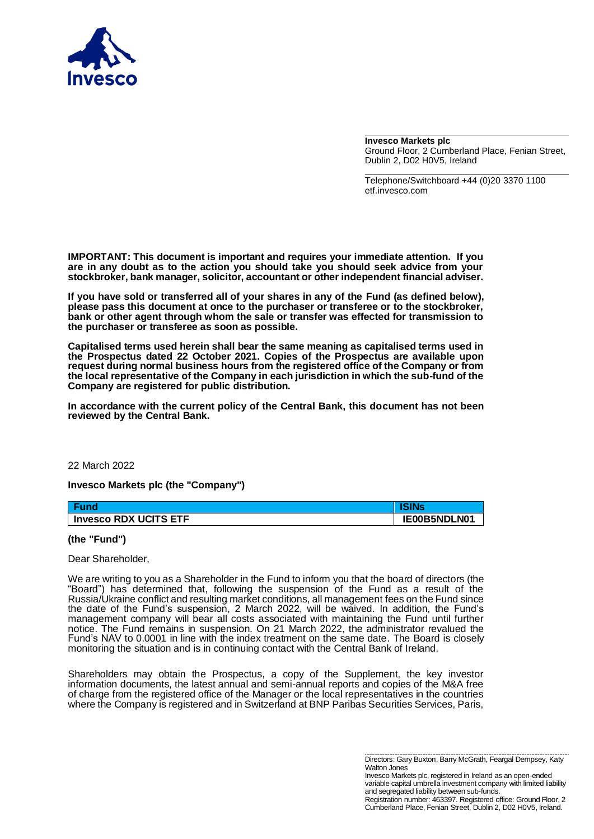

**Invesco Markets plc** Ground Floor, 2 Cumberland Place, Fenian Street, Dublin 2, D02 H0V5, Ireland

Telephone/Switchboard +44 (0)20 3370 1100 etf.invesco.com

**IMPORTANT: This document is important and requires your immediate attention. If you are in any doubt as to the action you should take you should seek advice from your stockbroker, bank manager, solicitor, accountant or other independent financial adviser.**

**If you have sold or transferred all of your shares in any of the Fund (as defined below), please pass this document at once to the purchaser or transferee or to the stockbroker, bank or other agent through whom the sale or transfer was effected for transmission to the purchaser or transferee as soon as possible.** 

**Capitalised terms used herein shall bear the same meaning as capitalised terms used in the Prospectus dated 22 October 2021. Copies of the Prospectus are available upon request during normal business hours from the registered office of the Company or from the local representative of the Company in each jurisdiction in which the sub-fund of the Company are registered for public distribution.**

**In accordance with the current policy of the Central Bank, this document has not been reviewed by the Central Bank.**

## 22 March 2022

**Invesco Markets plc (the "Company")**

| Fund                  | <b>ISINs</b> |
|-----------------------|--------------|
| Invesco RDX UCITS ETF | IE00B5NDLN01 |

## **(the "Fund")**

## Dear Shareholder,

We are writing to you as a Shareholder in the Fund to inform you that the board of directors (the "Board") has determined that, following the suspension of the Fund as a result of the Russia/Ukraine conflict and resulting market conditions, all management fees on the Fund since the date of the Fund's suspension, 2 March 2022, will be waived. In addition, the Fund's management company will bear all costs associated with maintaining the Fund until further notice. The Fund remains in suspension. On 21 March 2022, the administrator revalued the Fund's NAV to 0.0001 in line with the index treatment on the same date. The Board is closely monitoring the situation and is in continuing contact with the Central Bank of Ireland.

Shareholders may obtain the Prospectus, a copy of the Supplement, the key investor information documents, the latest annual and semi-annual reports and copies of the M&A free of charge from the registered office of the Manager or the local representatives in the countries where the Company is registered and in Switzerland at BNP Paribas Securities Services, Paris,